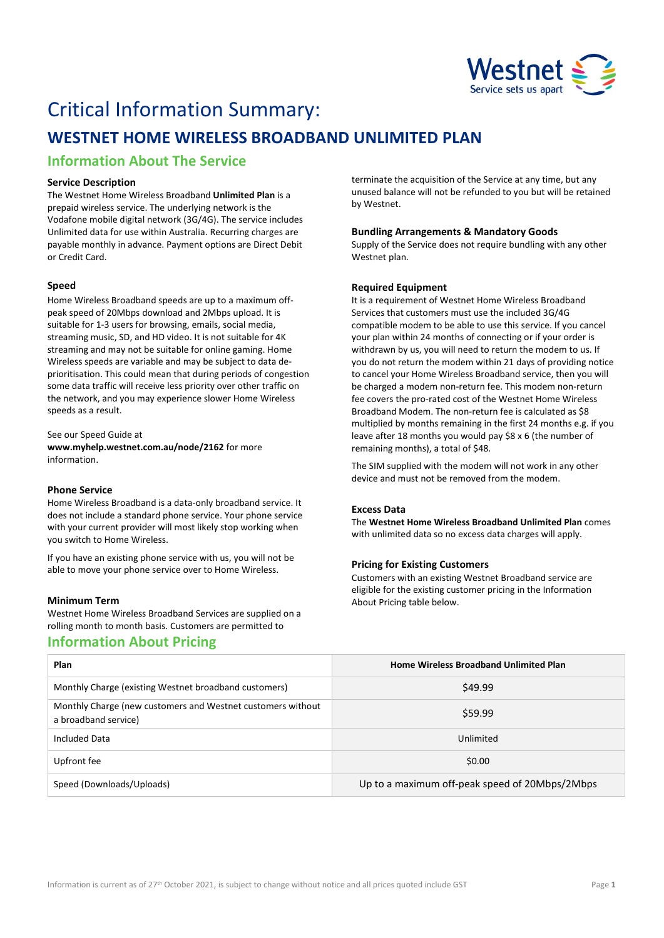

# Critical Information Summary:

## **WESTNET HOME WIRELESS BROADBAND UNLIMITED PLAN**

## **Information About The Service**

#### **Service Description**

The Westnet Home Wireless Broadband **Unlimited Plan** is a prepaid wireless service. The underlying network is the Vodafone mobile digital network (3G/4G). The service includes Unlimited data for use within Australia. Recurring charges are payable monthly in advance. Payment options are Direct Debit or Credit Card.

#### **Speed**

Home Wireless Broadband speeds are up to a maximum offpeak speed of 20Mbps download and 2Mbps upload. It is suitable for 1-3 users for browsing, emails, social media, streaming music, SD, and HD video. It is not suitable for 4K streaming and may not be suitable for online gaming. Home Wireless speeds are variable and may be subject to data deprioritisation. This could mean that during periods of congestion some data traffic will receive less priority over other traffic on the network, and you may experience slower Home Wireless speeds as a result.

#### See our Speed Guide at

**[www.myhelp.westnet.com.au/node/2162](http://www.myhelp.westnet.com.au/node/2162)** for more information.

#### **Phone Service**

Home Wireless Broadband is a data-only broadband service. It does not include a standard phone service. Your phone service with your current provider will most likely stop working when you switch to Home Wireless.

If you have an existing phone service with us, you will not be able to move your phone service over to Home Wireless.

#### **Minimum Term**

Westnet Home Wireless Broadband Services are supplied on a rolling month to month basis. Customers are permitted to

### **Information About Pricing**

terminate the acquisition of the Service at any time, but any unused balance will not be refunded to you but will be retained by Westnet.

#### **Bundling Arrangements & Mandatory Goods**

Supply of the Service does not require bundling with any other Westnet plan.

#### **Required Equipment**

It is a requirement of Westnet Home Wireless Broadband Services that customers must use the included 3G/4G compatible modem to be able to use this service. If you cancel your plan within 24 months of connecting or if your order is withdrawn by us, you will need to return the modem to us. If you do not return the modem within 21 days of providing notice to cancel your Home Wireless Broadband service, then you will be charged a modem non-return fee. This modem non-return fee covers the pro-rated cost of the Westnet Home Wireless Broadband Modem. The non-return fee is calculated as \$8 multiplied by months remaining in the first 24 months e.g. if you leave after 18 months you would pay \$8 x 6 (the number of remaining months), a total of \$48.

The SIM supplied with the modem will not work in any other device and must not be removed from the modem.

#### **Excess Data**

The **Westnet Home Wireless Broadband Unlimited Plan** comes with unlimited data so no excess data charges will apply.

#### **Pricing for Existing Customers**

Customers with an existing Westnet Broadband service are eligible for the existing customer pricing in the Information About Pricing table below.

| Plan                                                                                | <b>Home Wireless Broadband Unlimited Plan</b>  |
|-------------------------------------------------------------------------------------|------------------------------------------------|
| Monthly Charge (existing Westnet broadband customers)                               | \$49.99                                        |
| Monthly Charge (new customers and Westnet customers without<br>a broadband service) | \$59.99                                        |
| Included Data                                                                       | Unlimited                                      |
| Upfront fee                                                                         | \$0.00                                         |
| Speed (Downloads/Uploads)                                                           | Up to a maximum off-peak speed of 20Mbps/2Mbps |